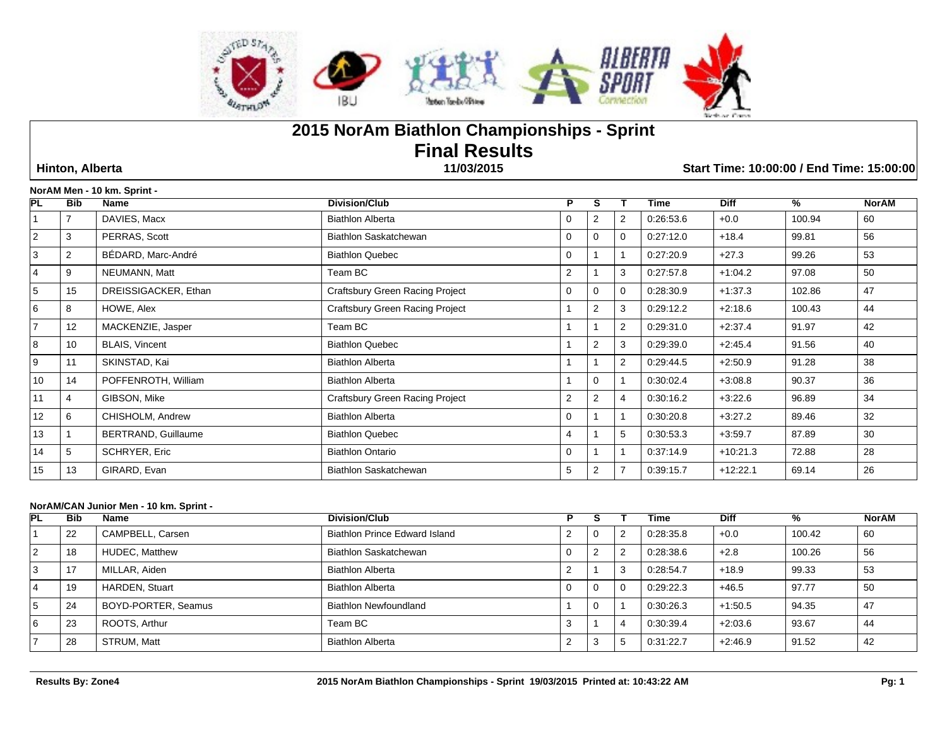

# **2015 NorAm Biathlon Championships - Sprint Final Results**

 **Hinton, Alberta 11/03/2015 Start Time: 10:00:00 / End Time: 15:00:00**

|                  |                | NorAM Men - 10 km. Sprint - |                                 |                |                |                |           |             |        |              |
|------------------|----------------|-----------------------------|---------------------------------|----------------|----------------|----------------|-----------|-------------|--------|--------------|
| <b>PL</b>        | <b>Bib</b>     | Name                        | <b>Division/Club</b>            | P              | S              |                | Time      | <b>Diff</b> | $\%$   | <b>NorAM</b> |
|                  |                | DAVIES, Macx                | <b>Biathlon Alberta</b>         | $\mathbf 0$    | $\overline{2}$ | 2              | 0:26:53.6 | $+0.0$      | 100.94 | 60           |
| $\overline{2}$   | 3              | PERRAS, Scott               | Biathlon Saskatchewan           | $\mathbf 0$    | $\Omega$       | $\Omega$       | 0:27:12.0 | $+18.4$     | 99.81  | 56           |
| 3                | $\overline{2}$ | BÉDARD, Marc-André          | <b>Biathlon Quebec</b>          | $\Omega$       |                |                | 0:27:20.9 | $+27.3$     | 99.26  | 53           |
| $\overline{4}$   | 9              | NEUMANN, Matt               | Team BC                         | $\overline{2}$ |                | 3              | 0:27:57.8 | $+1:04.2$   | 97.08  | 50           |
| 5                | 15             | DREISSIGACKER, Ethan        | Craftsbury Green Racing Project | 0              | $\Omega$       | $\Omega$       | 0.28.30.9 | $+1:37.3$   | 102.86 | 47           |
| 6                | 8              | HOWE, Alex                  | Craftsbury Green Racing Project |                | 2              | 3              | 0.29:12.2 | $+2:18.6$   | 100.43 | 44           |
| $\overline{7}$   | 12             | MACKENZIE, Jasper           | Team BC                         |                |                | $\overline{2}$ | 0:29:31.0 | $+2:37.4$   | 91.97  | 42           |
| 8                | 10             | <b>BLAIS, Vincent</b>       | <b>Biathlon Quebec</b>          |                | $\overline{2}$ | 3              | 0.29.39.0 | $+2:45.4$   | 91.56  | 40           |
| $\boldsymbol{9}$ | 11             | SKINSTAD, Kai               | <b>Biathlon Alberta</b>         |                |                | 2              | 0:29:44.5 | $+2:50.9$   | 91.28  | 38           |
| 10               | 14             | POFFENROTH, William         | <b>Biathlon Alberta</b>         |                | $\Omega$       |                | 0:30:02.4 | $+3:08.8$   | 90.37  | 36           |
| 11               | 4              | GIBSON, Mike                | Craftsbury Green Racing Project | $\overline{2}$ | $\overline{2}$ | 4              | 0:30:16.2 | $+3:22.6$   | 96.89  | 34           |
| 12               | 6              | CHISHOLM, Andrew            | <b>Biathlon Alberta</b>         | $\Omega$       |                |                | 0:30:20.8 | $+3:27.2$   | 89.46  | 32           |
| 13               |                | <b>BERTRAND, Guillaume</b>  | <b>Biathlon Quebec</b>          | 4              |                | 5              | 0:30:53.3 | $+3.59.7$   | 87.89  | 30           |
| 14               | 5              | SCHRYER, Eric               | <b>Biathlon Ontario</b>         | $\Omega$       |                |                | 0:37:14.9 | $+10:21.3$  | 72.88  | 28           |
| 15               | 13             | GIRARD, Evan                | Biathlon Saskatchewan           | 5              | $\overline{2}$ | 7              | 0:39:15.7 | $+12:22.1$  | 69.14  | 26           |

# **NorAM/CAN Junior Men - 10 km. Sprint -**

| PL | <b>Bib</b> | Name                  | <b>Division/Club</b>          |          |    | Гіmе      | <b>Diff</b> | %      | <b>NorAM</b>   |
|----|------------|-----------------------|-------------------------------|----------|----|-----------|-------------|--------|----------------|
|    | 22         | CAMPBELL, Carsen      | Biathlon Prince Edward Island | -0       |    | 0.28.35.8 | $+0.0$      | 100.42 | 60             |
| 2  | 18         | <b>HUDEC.</b> Matthew | Biathlon Saskatchewan         |          |    | 0.28.38.6 | $+2.8$      | 100.26 | 56             |
| 3  |            | MILLAR, Aiden         | <b>Biathlon Alberta</b>       |          |    | 0:28:54.7 | $+18.9$     | 99.33  | -53            |
| 4  | 19         | <b>HARDEN, Stuart</b> | <b>Biathlon Alberta</b>       | <b>U</b> |    | 0:29:22.3 | $+46.5$     | 97.77  | .5C            |
|    | 24         | BOYD-PORTER, Seamus   | <b>Biathlon Newfoundland</b>  | - 0      |    | 0:30:26.3 | $+1:50.5$   | 94.35  | $\overline{4}$ |
|    | 23         | ROOTS, Arthur         | Team BC                       |          |    | 0:30:39.4 | $+2:03.6$   | 93.67  | 44             |
|    | 28         | STRUM, Matt           | <b>Biathlon Alberta</b>       | -3       | .5 | 0:31:22.7 | $+2:46.9$   | 91.52  | 42             |